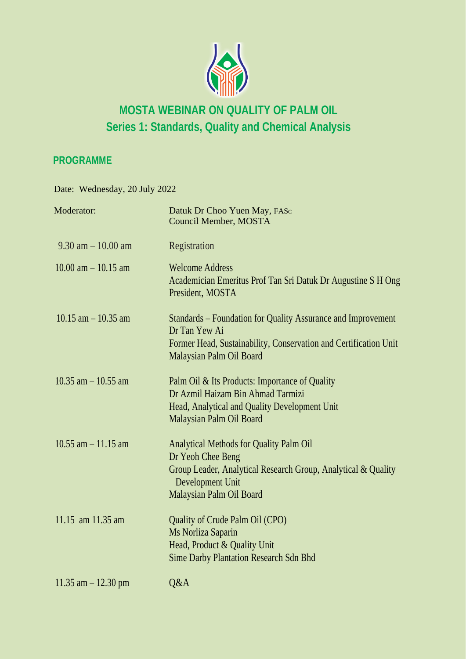

# **MOSTA WEBINAR ON QUALITY OF PALM OIL Series 1: Standards, Quality and Chemical Analysis**

## **PROGRAMME**

Date: Wednesday, 20 July 2022

| Moderator:              | Datuk Dr Choo Yuen May, FASc<br><b>Council Member, MOSTA</b>                                                                                                                         |
|-------------------------|--------------------------------------------------------------------------------------------------------------------------------------------------------------------------------------|
| $9.30$ am $-10.00$ am   | Registration                                                                                                                                                                         |
| $10.00$ am $- 10.15$ am | <b>Welcome Address</b><br>Academician Emeritus Prof Tan Sri Datuk Dr Augustine S H Ong<br>President, MOSTA                                                                           |
| $10.15$ am $- 10.35$ am | Standards – Foundation for Quality Assurance and Improvement<br>Dr Tan Yew Ai                                                                                                        |
|                         | Former Head, Sustainability, Conservation and Certification Unit<br>Malaysian Palm Oil Board                                                                                         |
| $10.35$ am $-10.55$ am  | Palm Oil & Its Products: Importance of Quality<br>Dr Azmil Haizam Bin Ahmad Tarmizi<br>Head, Analytical and Quality Development Unit<br>Malaysian Palm Oil Board                     |
| $10.55$ am $-11.15$ am  | <b>Analytical Methods for Quality Palm Oil</b><br>Dr Yeoh Chee Beng<br>Group Leader, Analytical Research Group, Analytical & Quality<br>Development Unit<br>Malaysian Palm Oil Board |
| 11.15 am 11.35 am       | Quality of Crude Palm Oil (CPO)<br>Ms Norliza Saparin<br>Head, Product & Quality Unit<br><b>Sime Darby Plantation Research Sdn Bhd</b>                                               |
| $11.35$ am $-12.30$ pm  | Q&A                                                                                                                                                                                  |